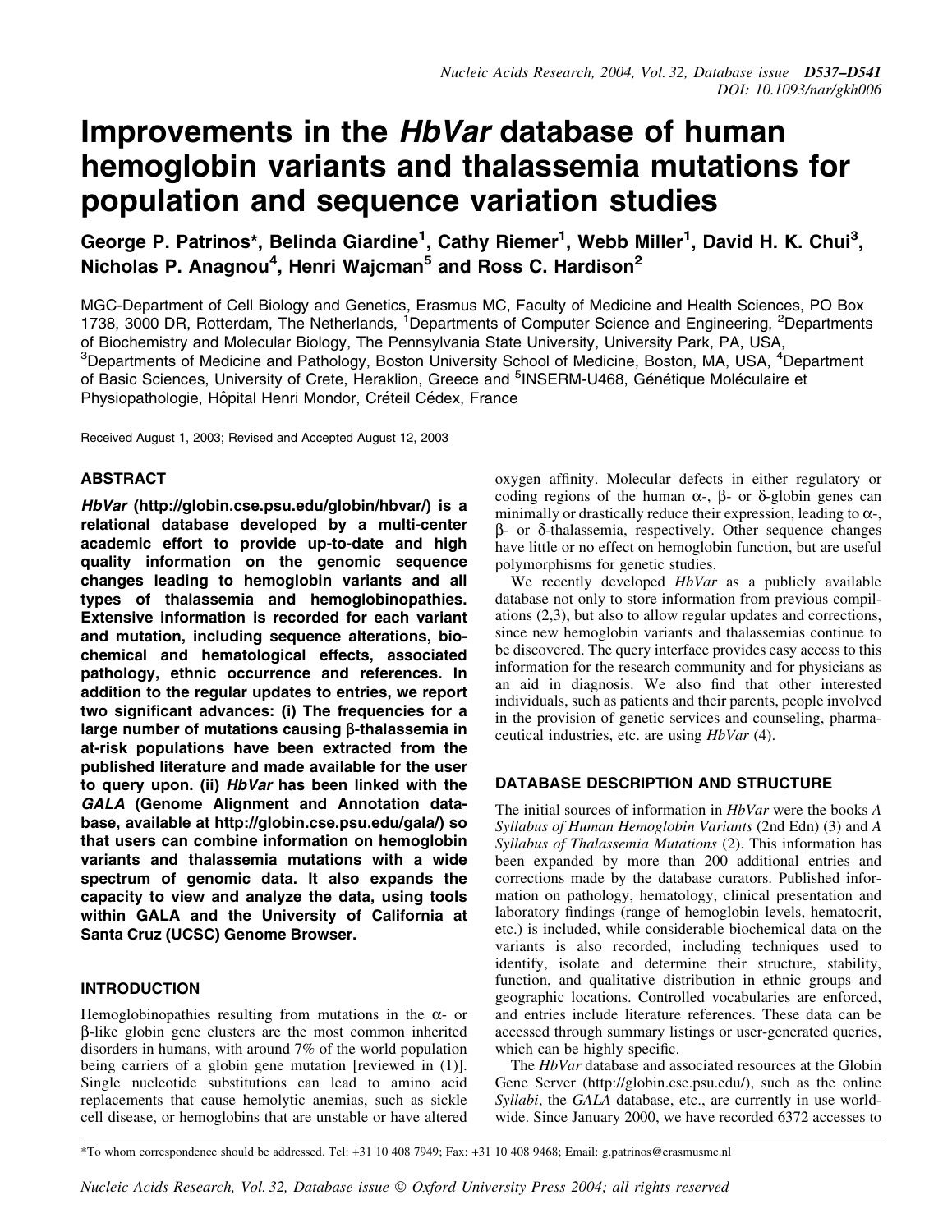# Improvements in the HbVar database of human hemoglobin variants and thalassemia mutations for population and sequence variation studies

George P. Patrinos\*, Belinda Giardine<sup>1</sup>, Cathy Riemer<sup>1</sup>, Webb Miller<sup>1</sup>, David H. K. Chui<sup>3</sup>, Nicholas P. Anagnou<sup>4</sup>, Henri Wajcman<sup>5</sup> and Ross C. Hardison<sup>2</sup>

MGC-Department of Cell Biology and Genetics, Erasmus MC, Faculty of Medicine and Health Sciences, PO Box 1738, 3000 DR, Rotterdam, The Netherlands, <sup>1</sup>Departments of Computer Science and Engineering, <sup>2</sup>Departments of Biochemistry and Molecular Biology, The Pennsylvania State University, University Park, PA, USA, <sup>3</sup>Departments of Medicine and Pathology, Boston University School of Medicine, Boston, MA, USA, <sup>4</sup>Department of Basic Sciences, University of Crete, Heraklion, Greece and <sup>5</sup>INSERM-U468, Génétique Moléculaire et Physiopathologie, Hôpital Henri Mondor, Créteil Cédex, France

Received August 1, 2003; Revised and Accepted August 12, 2003

### ABSTRACT

HbVar (http://globin.cse.psu.edu/globin/hbvar/) is a relational database developed by a multi-center academic effort to provide up-to-date and high quality information on the genomic sequence changes leading to hemoglobin variants and all types of thalassemia and hemoglobinopathies. Extensive information is recorded for each variant and mutation, including sequence alterations, biochemical and hematological effects, associated pathology, ethnic occurrence and references. In addition to the regular updates to entries, we report two significant advances: (i) The frequencies for a large number of mutations causing  $\beta$ -thalassemia in at-risk populations have been extracted from the published literature and made available for the user to query upon. (ii) HbVar has been linked with the GALA (Genome Alignment and Annotation database, available at http://globin.cse.psu.edu/gala/) so that users can combine information on hemoglobin variants and thalassemia mutations with a wide spectrum of genomic data. It also expands the capacity to view and analyze the data, using tools within GALA and the University of California at Santa Cruz (UCSC) Genome Browser.

### INTRODUCTION

Hemoglobinopathies resulting from mutations in the  $\alpha$ - or b-like globin gene clusters are the most common inherited disorders in humans, with around 7% of the world population being carriers of a globin gene mutation [reviewed in (1)]. Single nucleotide substitutions can lead to amino acid replacements that cause hemolytic anemias, such as sickle cell disease, or hemoglobins that are unstable or have altered oxygen affinity. Molecular defects in either regulatory or coding regions of the human  $\alpha$ -,  $\beta$ - or  $\delta$ -globin genes can minimally or drastically reduce their expression, leading to  $\alpha$ -,  $\beta$ - or  $\delta$ -thalassemia, respectively. Other sequence changes have little or no effect on hemoglobin function, but are useful polymorphisms for genetic studies.

We recently developed *HbVar* as a publicly available database not only to store information from previous compilations (2,3), but also to allow regular updates and corrections, since new hemoglobin variants and thalassemias continue to be discovered. The query interface provides easy access to this information for the research community and for physicians as an aid in diagnosis. We also find that other interested individuals, such as patients and their parents, people involved in the provision of genetic services and counseling, pharmaceutical industries, etc. are using HbVar (4).

### DATABASE DESCRIPTION AND STRUCTURE

The initial sources of information in *HbVar* were the books A Syllabus of Human Hemoglobin Variants (2nd Edn) (3) and A Syllabus of Thalassemia Mutations (2). This information has been expanded by more than 200 additional entries and corrections made by the database curators. Published information on pathology, hematology, clinical presentation and laboratory findings (range of hemoglobin levels, hematocrit, etc.) is included, while considerable biochemical data on the variants is also recorded, including techniques used to identify, isolate and determine their structure, stability, function, and qualitative distribution in ethnic groups and geographic locations. Controlled vocabularies are enforced, and entries include literature references. These data can be accessed through summary listings or user-generated queries, which can be highly specific.

The *HbVar* database and associated resources at the Globin Gene Server (http://globin.cse.psu.edu/), such as the online Syllabi, the GALA database, etc., are currently in use worldwide. Since January 2000, we have recorded 6372 accesses to

\*To whom correspondence should be addressed. Tel: +31 10 408 7949; Fax: +31 10 408 9468; Email: g.patrinos@erasmusmc.nl

Nucleic Acids Research, Vol. 32, Database issue © Oxford University Press 2004; all rights reserved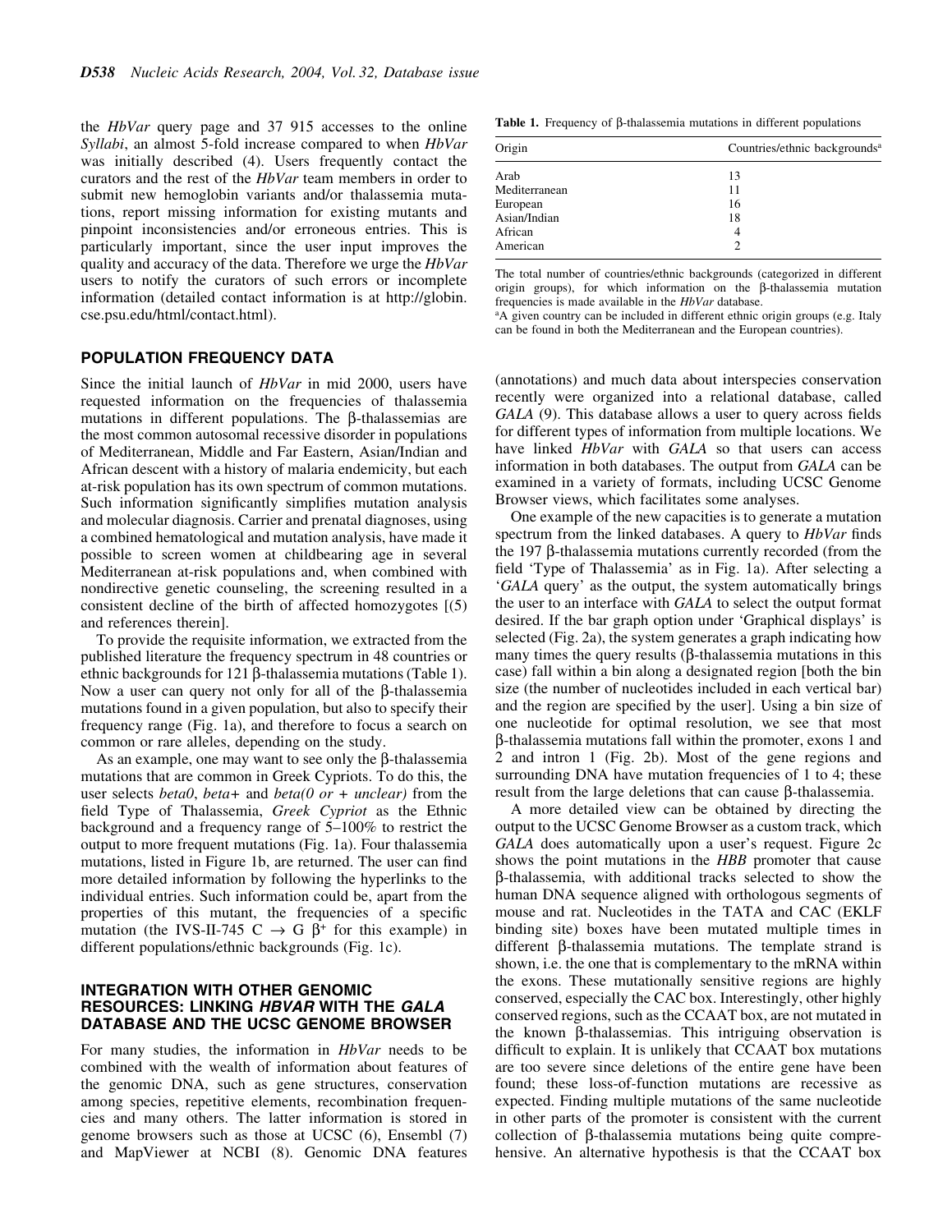the HbVar query page and 37 915 accesses to the online Syllabi, an almost 5-fold increase compared to when HbVar was initially described (4). Users frequently contact the curators and the rest of the HbVar team members in order to submit new hemoglobin variants and/or thalassemia mutations, report missing information for existing mutants and pinpoint inconsistencies and/or erroneous entries. This is particularly important, since the user input improves the quality and accuracy of the data. Therefore we urge the HbVar users to notify the curators of such errors or incomplete information (detailed contact information is at http://globin. cse.psu.edu/html/contact.html).

### POPULATION FREQUENCY DATA

Since the initial launch of HbVar in mid 2000, users have requested information on the frequencies of thalassemia mutations in different populations. The  $\beta$ -thalassemias are the most common autosomal recessive disorder in populations of Mediterranean, Middle and Far Eastern, Asian/Indian and African descent with a history of malaria endemicity, but each at-risk population has its own spectrum of common mutations. Such information significantly simplifies mutation analysis and molecular diagnosis. Carrier and prenatal diagnoses, using a combined hematological and mutation analysis, have made it possible to screen women at childbearing age in several Mediterranean at-risk populations and, when combined with nondirective genetic counseling, the screening resulted in a consistent decline of the birth of affected homozygotes [(5) and references therein].

To provide the requisite information, we extracted from the published literature the frequency spectrum in 48 countries or ethnic backgrounds for  $121 \beta$ -thalassemia mutations (Table 1). Now a user can query not only for all of the  $\beta$ -thalassemia mutations found in a given population, but also to specify their frequency range (Fig. 1a), and therefore to focus a search on common or rare alleles, depending on the study.

As an example, one may want to see only the  $\beta$ -thalassemia mutations that are common in Greek Cypriots. To do this, the user selects *beta0*, *beta*+ and *beta(0 or + unclear)* from the field Type of Thalassemia, Greek Cypriot as the Ethnic background and a frequency range of  $5-100\%$  to restrict the output to more frequent mutations (Fig. 1a). Four thalassemia mutations, listed in Figure 1b, are returned. The user can find more detailed information by following the hyperlinks to the individual entries. Such information could be, apart from the properties of this mutant, the frequencies of a specific mutation (the IVS-II-745 C  $\rightarrow$  G  $\beta$ <sup>+</sup> for this example) in different populations/ethnic backgrounds (Fig. 1c).

### INTEGRATION WITH OTHER GENOMIC RESOURCES: LINKING HBVAR WITH THE GALA DATABASE AND THE UCSC GENOME BROWSER

For many studies, the information in HbVar needs to be combined with the wealth of information about features of the genomic DNA, such as gene structures, conservation among species, repetitive elements, recombination frequencies and many others. The latter information is stored in genome browsers such as those at UCSC (6), Ensembl (7) and MapViewer at NCBI (8). Genomic DNA features

Table 1. Frequency of  $\beta$ -thalassemia mutations in different populations

| Origin        | Countries/ethnic backgrounds <sup>a</sup> |
|---------------|-------------------------------------------|
| Arab          | 13                                        |
| Mediterranean | 11                                        |
| European      | 16                                        |
| Asian/Indian  | 18                                        |
| African       | 4                                         |
| American      | 2                                         |

The total number of countries/ethnic backgrounds (categorized in different origin groups), for which information on the b-thalassemia mutation frequencies is made available in the HbVar database.

<sup>a</sup>A given country can be included in different ethnic origin groups (e.g. Italy can be found in both the Mediterranean and the European countries).

(annotations) and much data about interspecies conservation recently were organized into a relational database, called  $GALA$  (9). This database allows a user to query across fields for different types of information from multiple locations. We have linked HbVar with GALA so that users can access information in both databases. The output from GALA can be examined in a variety of formats, including UCSC Genome Browser views, which facilitates some analyses.

One example of the new capacities is to generate a mutation spectrum from the linked databases. A query to *HbVar* finds the 197  $\beta$ -thalassemia mutations currently recorded (from the field 'Type of Thalassemia' as in Fig. 1a). After selecting a `GALA query' as the output, the system automatically brings the user to an interface with GALA to select the output format desired. If the bar graph option under `Graphical displays' is selected (Fig. 2a), the system generates a graph indicating how many times the query results  $(\beta$ -thalassemia mutations in this case) fall within a bin along a designated region [both the bin size (the number of nucleotides included in each vertical bar) and the region are specified by the user]. Using a bin size of one nucleotide for optimal resolution, we see that most b-thalassemia mutations fall within the promoter, exons 1 and 2 and intron 1 (Fig. 2b). Most of the gene regions and surrounding DNA have mutation frequencies of 1 to 4; these result from the large deletions that can cause  $\beta$ -thalassemia.

A more detailed view can be obtained by directing the output to the UCSC Genome Browser as a custom track, which GALA does automatically upon a user's request. Figure 2c shows the point mutations in the HBB promoter that cause b-thalassemia, with additional tracks selected to show the human DNA sequence aligned with orthologous segments of mouse and rat. Nucleotides in the TATA and CAC (EKLF binding site) boxes have been mutated multiple times in different  $\beta$ -thalassemia mutations. The template strand is shown, i.e. the one that is complementary to the mRNA within the exons. These mutationally sensitive regions are highly conserved, especially the CAC box. Interestingly, other highly conserved regions, such as the CCAAT box, are not mutated in the known  $\beta$ -thalassemias. This intriguing observation is difficult to explain. It is unlikely that CCAAT box mutations are too severe since deletions of the entire gene have been found; these loss-of-function mutations are recessive as expected. Finding multiple mutations of the same nucleotide in other parts of the promoter is consistent with the current collection of  $\beta$ -thalassemia mutations being quite comprehensive. An alternative hypothesis is that the CCAAT box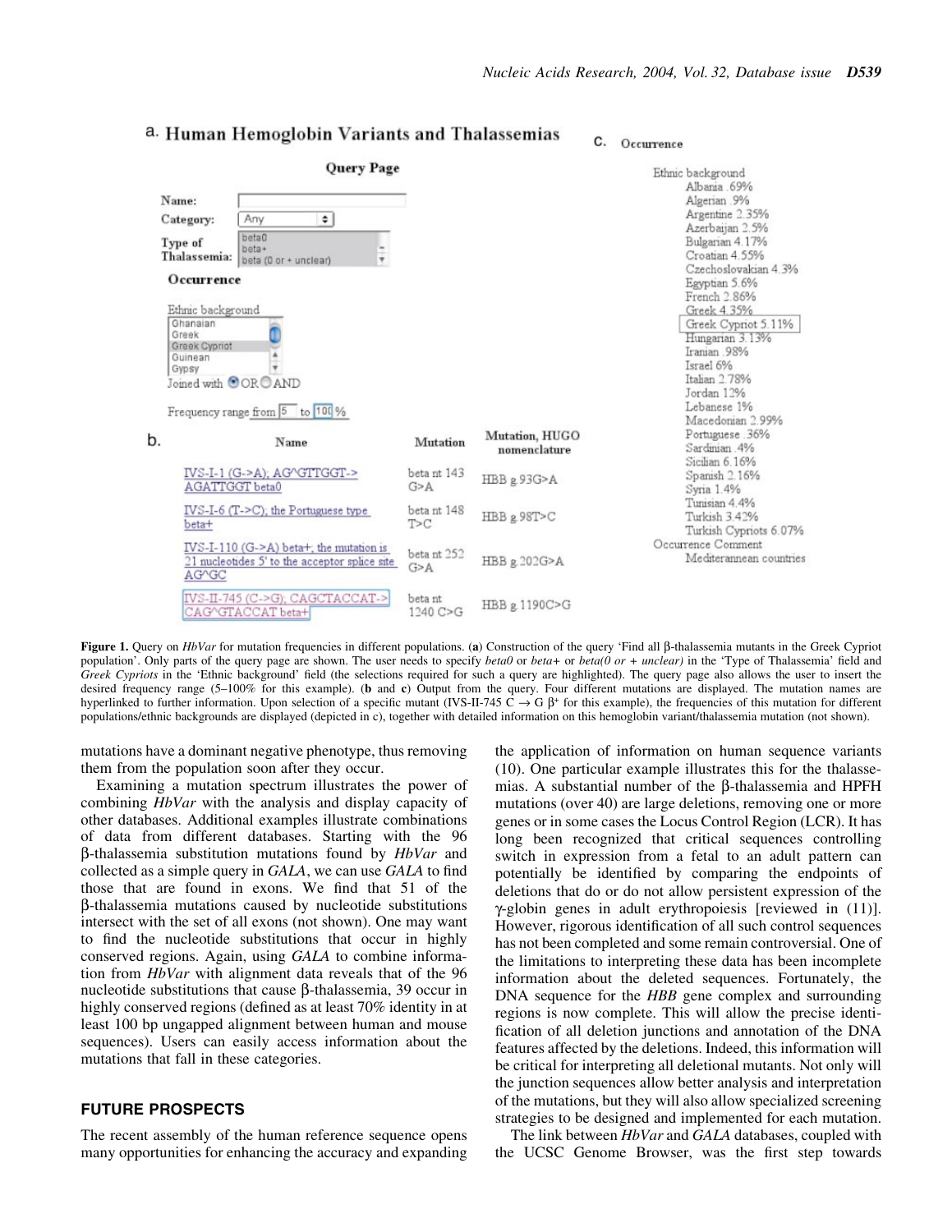C. Occurrence

#### **Query Page** Ethnic background Albania 69% Name: Algerian .9% Argentine 2.35% Any  $\div$ Category: Azerbaijan 2.5% beta0 Bulgarian 4.17% Type of beta+ Croatian 4.55% Thalassemia: beta (0 or + unclear) Czechoslovakian 4.3% Occurrence Egyptian 5.6% French 2.86% Ethnic background Greek 4.35% Ghanaian Greek Cypriot 5.11% Greek Hungarian 3.13% Greek Cypriot Iranian .98% Guinean A Israel 6% Gypsy Italian 2.78% Joined with OOROAND Jordan 12% Lebanese 1% Frequency range from 5 to 100 % Macedonian 2.99% Portuguese 36% Mutation, HUGO b. Mutation Name Sardinian .4% nomenclature Sicilian 6.16% IVS-I-1 (G->A); AG^GTTGGT-> beta nt 143 Spanish 2.16% HBB g.93G>A AGATTGGT beta0  $G > A$ Syria 1.4% Tunisian 4.4% IVS-I-6 (T->C); the Portuguese type betant 148 HBB g.98T>C Turkish 3.42%  $T>C$ beta+ Turkish Cypriots 6.07% Occurrence Comment  $IVS-I-110$  (G->A) beta+; the mutation is betant 252 Mediterannean countries 21 nucleotides 5' to the acceptor splice site HBB g.202G>A  $G > A$ AG^GC IVS-II-745 (C->G); CAGCTACCAT-> beta nt HBB g.1190C>G CAG^GTACCAT beta+ 1240 C>G

### a. Human Hemoglobin Variants and Thalassemias

Figure 1. Query on  $HbVar$  for mutation frequencies in different populations. (a) Construction of the query 'Find all  $\beta$ -thalassemia mutants in the Greek Cypriot population'. Only parts of the query page are shown. The user needs to specify *beta0* or *beta*(0 or + unclear) in the 'Type of Thalassemia' field and Greek Cypriots in the 'Ethnic background' field (the selections required for such a query are highlighted). The query page also allows the user to insert the desired frequency range (5-100% for this example). (b and c) Output from the query. Four different mutations are displayed. The mutation names are hyperlinked to further information. Upon selection of a specific mutant (IVS-II-745 C  $\rightarrow$  G  $\beta$ + for this example), the frequencies of this mutation for different populations/ethnic backgrounds are displayed (depicted in c), together with detailed information on this hemoglobin variant/thalassemia mutation (not shown).

mutations have a dominant negative phenotype, thus removing them from the population soon after they occur.

Examining a mutation spectrum illustrates the power of combining HbVar with the analysis and display capacity of other databases. Additional examples illustrate combinations of data from different databases. Starting with the 96  $\beta$ -thalassemia substitution mutations found by *HbVar* and collected as a simple query in GALA, we can use GALA to find those that are found in exons. We find that 51 of the b-thalassemia mutations caused by nucleotide substitutions intersect with the set of all exons (not shown). One may want to find the nucleotide substitutions that occur in highly conserved regions. Again, using GALA to combine information from HbVar with alignment data reveals that of the 96 nucleotide substitutions that cause  $\beta$ -thalassemia, 39 occur in highly conserved regions (defined as at least 70% identity in at least 100 bp ungapped alignment between human and mouse sequences). Users can easily access information about the mutations that fall in these categories.

### FUTURE PROSPECTS

The recent assembly of the human reference sequence opens many opportunities for enhancing the accuracy and expanding the application of information on human sequence variants (10). One particular example illustrates this for the thalassemias. A substantial number of the  $\beta$ -thalassemia and HPFH mutations (over 40) are large deletions, removing one or more genes or in some cases the Locus Control Region (LCR). It has long been recognized that critical sequences controlling switch in expression from a fetal to an adult pattern can potentially be identified by comparing the endpoints of deletions that do or do not allow persistent expression of the  $\gamma$ -globin genes in adult erythropoiesis [reviewed in (11)]. However, rigorous identification of all such control sequences has not been completed and some remain controversial. One of the limitations to interpreting these data has been incomplete information about the deleted sequences. Fortunately, the DNA sequence for the *HBB* gene complex and surrounding regions is now complete. This will allow the precise identi fication of all deletion junctions and annotation of the DNA features affected by the deletions. Indeed, this information will be critical for interpreting all deletional mutants. Not only will the junction sequences allow better analysis and interpretation of the mutations, but they will also allow specialized screening strategies to be designed and implemented for each mutation.

The link between HbVar and GALA databases, coupled with the UCSC Genome Browser, was the first step towards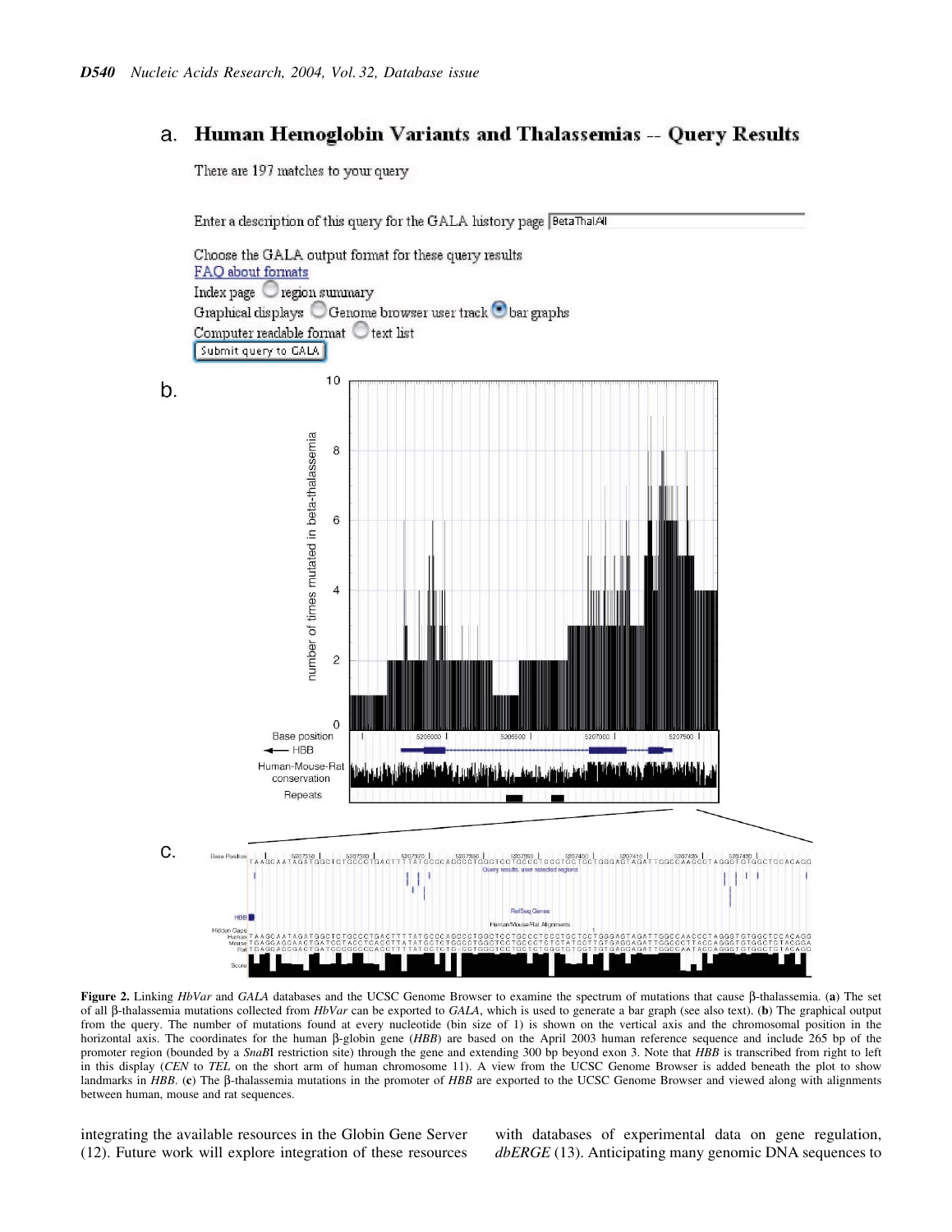## a. Human Hemoglobin Variants and Thalassemias -- Query Results

There are 197 matches to your query

Enter a description of this query for the GALA history page BetaThalAll

Choose the GALA output format for these query results FAQ about formats Index page region summary Graphical displays O Genome browser user track  $\bullet$  bar graphs Computer readable format  $\bigcirc$  text list Submit query to GALA  $10$ b. number of times mutated in beta-thalassemia  $\bf 8$  $\,$  6  $\,$  $\overline{4}$  $\overline{c}$  $\Omega$ **Base position**  $-$  HBB Human-Mouse-Rat conservation Repeats C. TAAGCAATAGATGGCTCTGCCCTGACTTTTATGC  $\mathbb{R}$   $\mathbb{R}$   $\mathbb{R}$ Ų HBB<sup>1</sup>

Figure 2. Linking HbVar and GALA databases and the UCSC Genome Browser to examine the spectrum of mutations that cause  $\beta$ -thalassemia. (a) The set of all  $\beta$ -thalassemia mutations collected from HbVar can be exported to GALA, which is used to generate a bar graph (see also text). (b) The graphical output from the query. The number of mutations found at every nucleotide (bin size of 1) is shown on the vertical axis and the chromosomal position in the horizontal axis. The coordinates for the human  $\beta$ -globin gene (HBB) are based on the April 2003 human reference sequence and include 265 bp of the promoter region (bounded by a SnaBI restriction site) through the gene and extending 300 bp beyond exon 3. Note that HBB is transcribed from right to left in this display (CEN to TEL on the short arm of human chromosome 11). A view from the UCSC Genome Browser is added beneath the plot to show landmarks in HBB. (c) The  $\beta$ -thalassemia mutations in the promoter of HBB are exported to the UCSC Genome Browser and viewed along with alignments between human, mouse and rat sequences.

integrating the available resources in the Globin Gene Server (12). Future work will explore integration of these resources with databases of experimental data on gene regulation, dbERGE (13). Anticipating many genomic DNA sequences to